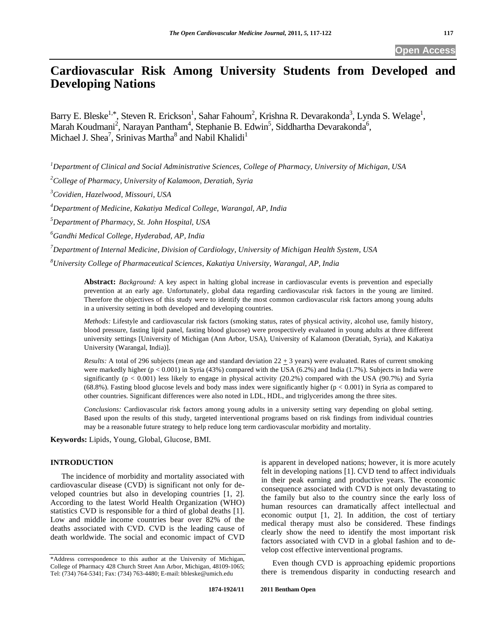# **Cardiovascular Risk Among University Students from Developed and Developing Nations**

Barry E. Bleske<sup>1,\*</sup>, Steven R. Erickson<sup>1</sup>, Sahar Fahoum<sup>2</sup>, Krishna R. Devarakonda<sup>3</sup>, Lynda S. Welage<sup>1</sup>, Marah Koudmani<sup>2</sup>, Narayan Pantham<sup>4</sup>, Stephanie B. Edwin<sup>5</sup>, Siddhartha Devarakonda<sup>6</sup>, Michael J. Shea<sup>7</sup>, Srinivas Martha<sup>8</sup> and Nabil Khalidi<sup>1</sup>

*1 Department of Clinical and Social Administrative Sciences, College of Pharmacy, University of Michigan, USA* 

*2 College of Pharmacy, University of Kalamoon, Deratiah, Syria* 

*3 Covidien, Hazelwood, Missouri, USA* 

*4 Department of Medicine, Kakatiya Medical College, Warangal, AP, India* 

*5 Department of Pharmacy, St. John Hospital, USA* 

*6 Gandhi Medical College, Hyderabad, AP, India* 

*7 Department of Internal Medicine, Division of Cardiology, University of Michigan Health System, USA* 

*8 University College of Pharmaceutical Sciences, Kakatiya University, Warangal, AP, India* 

**Abstract:** *Background:* A key aspect in halting global increase in cardiovascular events is prevention and especially prevention at an early age. Unfortunately, global data regarding cardiovascular risk factors in the young are limited. Therefore the objectives of this study were to identify the most common cardiovascular risk factors among young adults in a university setting in both developed and developing countries.

*Methods:* Lifestyle and cardiovascular risk factors (smoking status, rates of physical activity, alcohol use, family history, blood pressure, fasting lipid panel, fasting blood glucose) were prospectively evaluated in young adults at three different university settings [University of Michigan (Ann Arbor, USA), University of Kalamoon (Deratiah, Syria), and Kakatiya University (Warangal, India)].

*Results:* A total of 296 subjects (mean age and standard deviation  $22 \pm 3$  years) were evaluated. Rates of current smoking were markedly higher ( $p < 0.001$ ) in Syria (43%) compared with the USA (6.2%) and India (1.7%). Subjects in India were significantly  $(p < 0.001)$  less likely to engage in physical activity (20.2%) compared with the USA (90.7%) and Syria (68.8%). Fasting blood glucose levels and body mass index were significantly higher ( $p < 0.001$ ) in Syria as compared to other countries. Significant differences were also noted in LDL, HDL, and triglycerides among the three sites.

*Conclusions:* Cardiovascular risk factors among young adults in a university setting vary depending on global setting. Based upon the results of this study, targeted interventional programs based on risk findings from individual countries may be a reasonable future strategy to help reduce long term cardiovascular morbidity and mortality.

**Keywords:** Lipids, Young, Global, Glucose, BMI.

# **INTRODUCTION**

 The incidence of morbidity and mortality associated with cardiovascular disease (CVD) is significant not only for developed countries but also in developing countries [1, 2]. According to the latest World Health Organization (WHO) statistics CVD is responsible for a third of global deaths [1]. Low and middle income countries bear over 82% of the deaths associated with CVD. CVD is the leading cause of death worldwide. The social and economic impact of CVD is apparent in developed nations; however, it is more acutely felt in developing nations [1]. CVD tend to affect individuals in their peak earning and productive years. The economic consequence associated with CVD is not only devastating to the family but also to the country since the early loss of human resources can dramatically affect intellectual and economic output [1, 2]. In addition, the cost of tertiary medical therapy must also be considered. These findings clearly show the need to identify the most important risk factors associated with CVD in a global fashion and to develop cost effective interventional programs.

 Even though CVD is approaching epidemic proportions there is tremendous disparity in conducting research and

<sup>\*</sup>Address correspondence to this author at the University of Michigan, College of Pharmacy 428 Church Street Ann Arbor, Michigan, 48109-1065; Tel: (734) 764-5341; Fax: (734) 763-4480; E-mail: bbleske@umich.edu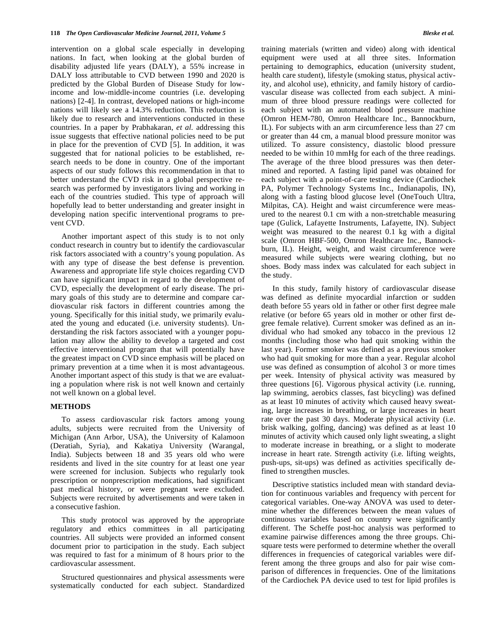intervention on a global scale especially in developing nations. In fact, when looking at the global burden of disability adjusted life years (DALY), a 55% increase in DALY loss attributable to CVD between 1990 and 2020 is predicted by the Global Burden of Disease Study for lowincome and low-middle-income countries (i.e. developing nations) [2-4]. In contrast, developed nations or high-income nations will likely see a 14.3% reduction. This reduction is likely due to research and interventions conducted in these countries. In a paper by Prabhakaran, *et al.* addressing this issue suggests that effective national policies need to be put in place for the prevention of CVD [5]. In addition, it was suggested that for national policies to be established, research needs to be done in country. One of the important aspects of our study follows this recommendation in that to better understand the CVD risk in a global perspective research was performed by investigators living and working in each of the countries studied. This type of approach will hopefully lead to better understanding and greater insight in developing nation specific interventional programs to prevent CVD.

 Another important aspect of this study is to not only conduct research in country but to identify the cardiovascular risk factors associated with a country's young population. As with any type of disease the best defense is prevention*.* Awareness and appropriate life style choices regarding CVD can have significant impact in regard to the development of CVD, especially the development of early disease. The primary goals of this study are to determine and compare cardiovascular risk factors in different countries among the young. Specifically for this initial study, we primarily evaluated the young and educated (i.e. university students). Understanding the risk factors associated with a younger population may allow the ability to develop a targeted and cost effective interventional program that will potentially have the greatest impact on CVD since emphasis will be placed on primary prevention at a time when it is most advantageous. Another important aspect of this study is that we are evaluating a population where risk is not well known and certainly not well known on a global level.

#### **METHODS**

 To assess cardiovascular risk factors among young adults, subjects were recruited from the University of Michigan (Ann Arbor, USA), the University of Kalamoon (Deratiah, Syria), and Kakatiya University (Warangal, India). Subjects between 18 and 35 years old who were residents and lived in the site country for at least one year were screened for inclusion. Subjects who regularly took prescription or nonprescription medications, had significant past medical history, or were pregnant were excluded. Subjects were recruited by advertisements and were taken in a consecutive fashion.

 This study protocol was approved by the appropriate regulatory and ethics committees in all participating countries. All subjects were provided an informed consent document prior to participation in the study. Each subject was required to fast for a minimum of 8 hours prior to the cardiovascular assessment.

 Structured questionnaires and physical assessments were systematically conducted for each subject. Standardized training materials (written and video) along with identical equipment were used at all three sites. Information pertaining to demographics, education (university student, health care student), lifestyle (smoking status, physical activity, and alcohol use), ethnicity, and family history of cardiovascular disease was collected from each subject. A minimum of three blood pressure readings were collected for each subject with an automated blood pressure machine (Omron HEM-780, Omron Healthcare Inc., Bannockburn, IL). For subjects with an arm circumference less than 27 cm or greater than 44 cm, a manual blood pressure monitor was utilized. To assure consistency, diastolic blood pressure needed to be within 10 mmHg for each of the three readings. The average of the three blood pressures was then determined and reported. A fasting lipid panel was obtained for each subject with a point-of-care testing device (Cardiochek PA, Polymer Technology Systems Inc., Indianapolis, IN), along with a fasting blood glucose level (OneTouch Ultra, Milpitas, CA). Height and waist circumference were measured to the nearest 0.1 cm with a non-stretchable measuring tape (Gulick, Lafayette Instruments, Lafayette, IN). Subject weight was measured to the nearest 0.1 kg with a digital scale (Omron HBF-500, Omron Healthcare Inc., Bannockburn, IL). Height, weight, and waist circumference were measured while subjects were wearing clothing, but no shoes. Body mass index was calculated for each subject in the study.

 In this study, family history of cardiovascular disease was defined as definite myocardial infarction or sudden death before 55 years old in father or other first degree male relative (or before 65 years old in mother or other first degree female relative). Current smoker was defined as an individual who had smoked any tobacco in the previous 12 months (including those who had quit smoking within the last year). Former smoker was defined as a previous smoker who had quit smoking for more than a year. Regular alcohol use was defined as consumption of alcohol 3 or more times per week. Intensity of physical activity was measured by three questions [6]. Vigorous physical activity (i.e. running, lap swimming, aerobics classes, fast bicycling) was defined as at least 10 minutes of activity which caused heavy sweating, large increases in breathing, or large increases in heart rate over the past 30 days. Moderate physical activity (i.e. brisk walking, golfing, dancing) was defined as at least 10 minutes of activity which caused only light sweating, a slight to moderate increase in breathing, or a slight to moderate increase in heart rate. Strength activity (i.e. lifting weights, push-ups, sit-ups) was defined as activities specifically defined to strengthen muscles.

 Descriptive statistics included mean with standard deviation for continuous variables and frequency with percent for categorical variables. One-way ANOVA was used to determine whether the differences between the mean values of continuous variables based on country were significantly different. The Scheffe post-hoc analysis was performed to examine pairwise differences among the three groups. Chisquare tests were performed to determine whether the overall differences in frequencies of categorical variables were different among the three groups and also for pair wise comparison of differences in frequencies. One of the limitations of the Cardiochek PA device used to test for lipid profiles is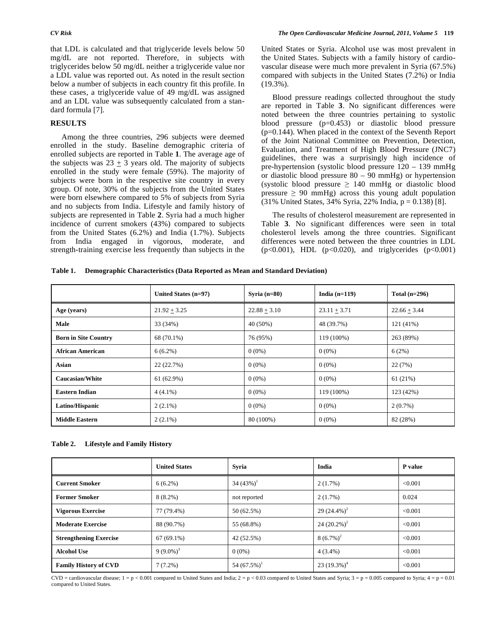that LDL is calculated and that triglyceride levels below 50 mg/dL are not reported. Therefore, in subjects with triglycerides below 50 mg/dL neither a triglyceride value nor a LDL value was reported out. As noted in the result section below a number of subjects in each country fit this profile. In these cases, a triglyceride value of 49 mg/dL was assigned and an LDL value was subsequently calculated from a standard formula [7].

# **RESULTS**

 Among the three countries, 296 subjects were deemed enrolled in the study. Baseline demographic criteria of enrolled subjects are reported in Table **1**. The average age of the subjects was  $23 \pm 3$  years old. The majority of subjects enrolled in the study were female (59%). The majority of subjects were born in the respective site country in every group. Of note, 30% of the subjects from the United States were born elsewhere compared to 5% of subjects from Syria and no subjects from India. Lifestyle and family history of subjects are represented in Table **2**. Syria had a much higher incidence of current smokers (43%) compared to subjects from the United States (6.2%) and India (1.7%). Subjects from India engaged in vigorous, moderate, and strength-training exercise less frequently than subjects in the United States or Syria. Alcohol use was most prevalent in the United States. Subjects with a family history of cardiovascular disease were much more prevalent in Syria (67.5%) compared with subjects in the United States (7.2%) or India (19.3%).

 Blood pressure readings collected throughout the study are reported in Table **3**. No significant differences were noted between the three countries pertaining to systolic blood pressure (p=0.453) or diastolic blood pressure (p=0.144). When placed in the context of the Seventh Report of the Joint National Committee on Prevention, Detection, Evaluation, and Treatment of High Blood Pressure (JNC7) guidelines, there was a surprisingly high incidence of pre-hypertension (systolic blood pressure 120 – 139 mmHg or diastolic blood pressure 80 – 90 mmHg) or hypertension (systolic blood pressure  $\geq 140$  mmHg or diastolic blood pressure  $\geq 90$  mmHg) across this young adult population (31% United States, 34% Syria, 22% India, p = 0.138) [8].

 The results of cholesterol measurement are represented in Table **3**. No significant differences were seen in total cholesterol levels among the three countries. Significant differences were noted between the three countries in LDL  $(p<0.001)$ , HDL  $(p<0.020)$ , and triglycerides  $(p<0.001)$ 

**Table 1. Demographic Characteristics (Data Reported as Mean and Standard Deviation)** 

|                             | United States $(n=97)$ | Syria $(n=80)$ | India $(n=119)$ | Total $(n=296)$ |
|-----------------------------|------------------------|----------------|-----------------|-----------------|
| Age (years)                 | $21.92 + 3.25$         | $22.88 + 3.10$ | $23.11 + 3.71$  | $22.66 + 3.44$  |
| Male                        | 33 (34%)               | 40 (50%)       | 48 (39.7%)      | $121(41\%)$     |
| <b>Born in Site Country</b> | 68 (70.1%)             | 76 (95%)       | 119 (100%)      | 263 (89%)       |
| <b>African American</b>     | $6(6.2\%)$             | $0(0\%)$       | $0(0\%)$        | 6(2%)           |
| Asian                       | 22 (22.7%)             | $0(0\%)$       | $0(0\%)$        | 22(7%)          |
| <b>Caucasian/White</b>      | 61 (62.9%)             | $0(0\%)$       | $0(0\%)$        | 61(21%)         |
| <b>Eastern Indian</b>       | $4(4.1\%)$             | $0(0\%)$       | 119 (100%)      | 123 (42%)       |
| Latino/Hispanic             | $2(2.1\%)$             | $0(0\%)$       | $0(0\%)$        | $2(0.7\%)$      |
| <b>Middle Eastern</b>       | $2(2.1\%)$             | 80 (100%)      | $0(0\%)$        | 82 (28%)        |

**Table 2. Lifestyle and Family History** 

|                               | <b>United States</b> | Svria                      | India           | P value |
|-------------------------------|----------------------|----------------------------|-----------------|---------|
| <b>Current Smoker</b>         | $6(6.2\%)$           | 34 $(43\%)^1$              | 2(1.7%)         | < 0.001 |
| <b>Former Smoker</b>          | $8(8.2\%)$           | not reported               | 2(1.7%)         | 0.024   |
| <b>Vigorous Exercise</b>      | 77 (79.4%)           | 50 (62.5%)                 | 29 $(24.4\%)^2$ | < 0.001 |
| <b>Moderate Exercise</b>      | 88 (90.7%)           | 55 (68.8%)                 | 24 $(20.2\%)^2$ | < 0.001 |
| <b>Strengthening Exercise</b> | $67(69.1\%)$         | 42 (52.5%)                 | $8(6.7\%)^2$    | < 0.001 |
| <b>Alcohol Use</b>            | 9 $(9.0\%)^3$        | $0(0\%)$                   | $4(3.4\%)$      | < 0.001 |
| <b>Family History of CVD</b>  | $7(7.2\%)$           | 54 $(67.5\%)$ <sup>1</sup> | 23 $(19.3\%)^4$ | < 0.001 |

 $CVD =$  cardiovascular disease;  $1 = p < 0.001$  compared to United States and India;  $2 = p < 0.03$  compared to United States and Syria;  $3 = p = 0.005$  compared to Syria;  $4 = p = 0.01$ compared to United States.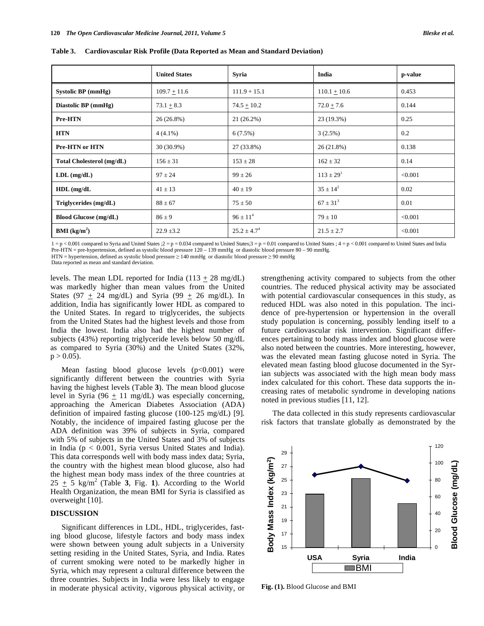**Table 3. Cardiovascular Risk Profile (Data Reported as Mean and Standard Deviation)** 

|                              | <b>United States</b> | Syria            | India           | p-value |
|------------------------------|----------------------|------------------|-----------------|---------|
| Systolic BP (mmHg)           | $109.7 \pm 11.6$     | $111.9 + 15.1$   | $110.1 + 10.6$  | 0.453   |
| Diastolic BP (mmHg)          | $73.1 + 8.3$         | $74.5 + 10.2$    | $72.0 + 7.6$    | 0.144   |
| Pre-HTN                      | 26(26.8%)            | 21 (26.2%)       | 23 (19.3%)      | 0.25    |
| <b>HTN</b>                   | $4(4.1\%)$           | 6(7.5%)          | 3(2.5%)         | 0.2     |
| Pre-HTN or HTN               | $30(30.9\%)$         | 27 (33.8%)       | 26(21.8%)       | 0.138   |
| Total Cholesterol (mg/dL)    | $156 \pm 31$         | $153 \pm 28$     | $162 \pm 32$    | 0.14    |
| $LDL$ (mg/dL)                | $97 \pm 24$          | $99 \pm 26$      | $113 \pm 29^1$  | < 0.001 |
| $HDL$ (mg/dL                 | $41 \pm 13$          | $40 \pm 19$      | $35 \pm 14^2$   | 0.02    |
| Triglycerides $(mg/dL)$      | $88 \pm 67$          | $75 \pm 50$      | $67 \pm 31^{3}$ | 0.01    |
| <b>Blood Glucose (mg/dL)</b> | $86 \pm 9$           | $96 \pm 11^{4}$  | $79 \pm 10$     | < 0.001 |
| <b>BMI</b> ( $kg/m2$ )       | $22.9 \pm 3.2$       | $25.2 \pm 4.7^4$ | $21.5 \pm 2.7$  | < 0.001 |

 $1 = p < 0.001$  compared to Syria and United States ;  $2 = p = 0.034$  compared to United States;  $3 = p = 0.01$  compared to United States ;  $4 = p < 0.001$  compared to United States and India Pre-HTN = pre-hypertension, defined as systolic blood pressure 120 – 139 mmHg or diastolic blood pressure 80 – 90 mmHg.

 $HTN = hypertension, defined as systolic blood pressure  $\geq 140$  mmHg or diastolic blood pressure  $\geq 90$  mmHg$ 

Data reported as mean and standard deviation.

levels. The mean LDL reported for India  $(113 \pm 28 \text{ mg/dL})$ was markedly higher than mean values from the United States (97  $\pm$  24 mg/dL) and Syria (99  $\pm$  26 mg/dL). In addition, India has significantly lower HDL as compared to the United States. In regard to triglycerides, the subjects from the United States had the highest levels and those from India the lowest. India also had the highest number of subjects (43%) reporting triglyceride levels below 50 mg/dL as compared to Syria (30%) and the United States (32%,  $p > 0.05$ ).

Mean fasting blood glucose levels  $(p<0.001)$  were significantly different between the countries with Syria having the highest levels (Table **3**). The mean blood glucose level in Syria (96  $\pm$  11 mg/dL) was especially concerning, approaching the American Diabetes Association (ADA) definition of impaired fasting glucose (100-125 mg/dL) [9]. Notably, the incidence of impaired fasting glucose per the ADA definition was 39% of subjects in Syria, compared with 5% of subjects in the United States and 3% of subjects in India (p < 0.001, Syria versus United States and India). This data corresponds well with body mass index data; Syria, the country with the highest mean blood glucose, also had the highest mean body mass index of the three countries at  $25 \pm 5$  kg/m<sup>2</sup> (Table 3, Fig. 1). According to the World Health Organization, the mean BMI for Syria is classified as overweight [10].

# **DISCUSSION**

 Significant differences in LDL, HDL, triglycerides, fasting blood glucose, lifestyle factors and body mass index were shown between young adult subjects in a University setting residing in the United States, Syria, and India. Rates of current smoking were noted to be markedly higher in Syria, which may represent a cultural difference between the three countries. Subjects in India were less likely to engage in moderate physical activity, vigorous physical activity, or strengthening activity compared to subjects from the other countries. The reduced physical activity may be associated with potential cardiovascular consequences in this study, as reduced HDL was also noted in this population. The incidence of pre-hypertension or hypertension in the overall study population is concerning, possibly lending itself to a future cardiovascular risk intervention. Significant differences pertaining to body mass index and blood glucose were also noted between the countries. More interesting, however, was the elevated mean fasting glucose noted in Syria. The elevated mean fasting blood glucose documented in the Syrian subjects was associated with the high mean body mass index calculated for this cohort. These data supports the increasing rates of metabolic syndrome in developing nations noted in previous studies [11, 12].

 The data collected in this study represents cardiovascular risk factors that translate globally as demonstrated by the



**Fig. (1).** Blood Glucose and BMI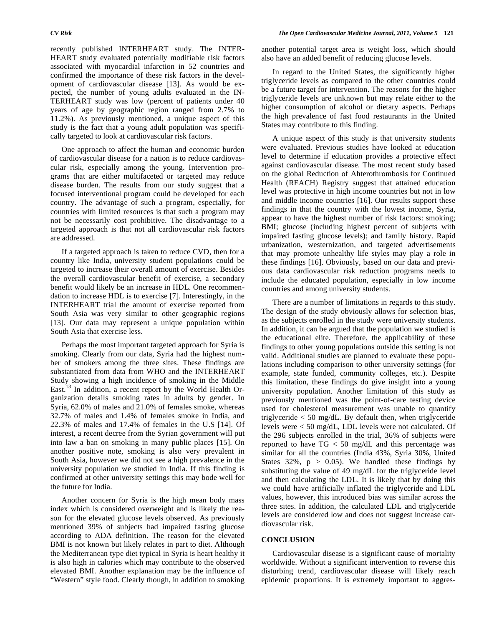recently published INTERHEART study. The INTER-HEART study evaluated potentially modifiable risk factors associated with myocardial infarction in 52 countries and confirmed the importance of these risk factors in the development of cardiovascular disease [13]. As would be expected, the number of young adults evaluated in the IN-TERHEART study was low (percent of patients under 40 years of age by geographic region ranged from 2.7% to 11.2%). As previously mentioned, a unique aspect of this study is the fact that a young adult population was specifically targeted to look at cardiovascular risk factors.

 One approach to affect the human and economic burden of cardiovascular disease for a nation is to reduce cardiovascular risk, especially among the young. Intervention programs that are either multifaceted or targeted may reduce disease burden. The results from our study suggest that a focused interventional program could be developed for each country. The advantage of such a program, especially, for countries with limited resources is that such a program may not be necessarily cost prohibitive. The disadvantage to a targeted approach is that not all cardiovascular risk factors are addressed.

 If a targeted approach is taken to reduce CVD, then for a country like India, university student populations could be targeted to increase their overall amount of exercise. Besides the overall cardiovascular benefit of exercise, a secondary benefit would likely be an increase in HDL. One recommendation to increase HDL is to exercise [7]. Interestingly, in the INTERHEART trial the amount of exercise reported from South Asia was very similar to other geographic regions [13]. Our data may represent a unique population within South Asia that exercise less.

 Perhaps the most important targeted approach for Syria is smoking. Clearly from our data, Syria had the highest number of smokers among the three sites. These findings are substantiated from data from WHO and the INTERHEART Study showing a high incidence of smoking in the Middle East.<sup>13</sup> In addition, a recent report by the World Health Organization details smoking rates in adults by gender. In Syria, 62.0% of males and 21.0% of females smoke, whereas 32.7% of males and 1.4% of females smoke in India, and 22.3% of males and 17.4% of females in the U.S [14]. Of interest, a recent decree from the Syrian government will put into law a ban on smoking in many public places [15]. On another positive note, smoking is also very prevalent in South Asia, however we did not see a high prevalence in the university population we studied in India. If this finding is confirmed at other university settings this may bode well for the future for India.

 Another concern for Syria is the high mean body mass index which is considered overweight and is likely the reason for the elevated glucose levels observed. As previously mentioned 39% of subjects had impaired fasting glucose according to ADA definition. The reason for the elevated BMI is not known but likely relates in part to diet. Although the Mediterranean type diet typical in Syria is heart healthy it is also high in calories which may contribute to the observed elevated BMI. Another explanation may be the influence of "Western" style food. Clearly though, in addition to smoking

another potential target area is weight loss, which should also have an added benefit of reducing glucose levels.

 In regard to the United States, the significantly higher triglyceride levels as compared to the other countries could be a future target for intervention. The reasons for the higher triglyceride levels are unknown but may relate either to the higher consumption of alcohol or dietary aspects. Perhaps the high prevalence of fast food restaurants in the United States may contribute to this finding.

 A unique aspect of this study is that university students were evaluated. Previous studies have looked at education level to determine if education provides a protective effect against cardiovascular disease. The most recent study based on the global Reduction of Ahterothrombosis for Continued Health (REACH) Registry suggest that attained education level was protective in high income countries but not in low and middle income countries [16]. Our results support these findings in that the country with the lowest income, Syria, appear to have the highest number of risk factors: smoking; BMI; glucose (including highest percent of subjects with impaired fasting glucose levels); and family history. Rapid urbanization, westernization, and targeted advertisements that may promote unhealthy life styles may play a role in these findings [16]. Obviously, based on our data and previous data cardiovascular risk reduction programs needs to include the educated population, especially in low income countries and among university students.

 There are a number of limitations in regards to this study. The design of the study obviously allows for selection bias, as the subjects enrolled in the study were university students. In addition, it can be argued that the population we studied is the educational elite. Therefore, the applicability of these findings to other young populations outside this setting is not valid. Additional studies are planned to evaluate these populations including comparison to other university settings (for example, state funded, community colleges, etc.). Despite this limitation, these findings do give insight into a young university population. Another limitation of this study as previously mentioned was the point-of-care testing device used for cholesterol measurement was unable to quantify triglyceride < 50 mg/dL. By default then, when triglyceride levels were < 50 mg/dL, LDL levels were not calculated. Of the 296 subjects enrolled in the trial, 36% of subjects were reported to have  $TG < 50$  mg/dL and this percentage was similar for all the countries (India 43%, Syria 30%, United States 32%,  $p > 0.05$ . We handled these findings by substituting the value of 49 mg/dL for the triglyceride level and then calculating the LDL. It is likely that by doing this we could have artificially inflated the triglyceride and LDL values, however, this introduced bias was similar across the three sites. In addition, the calculated LDL and triglyceride levels are considered low and does not suggest increase cardiovascular risk.

## **CONCLUSION**

 Cardiovascular disease is a significant cause of mortality worldwide. Without a significant intervention to reverse this disturbing trend, cardiovascular disease will likely reach epidemic proportions. It is extremely important to aggres-